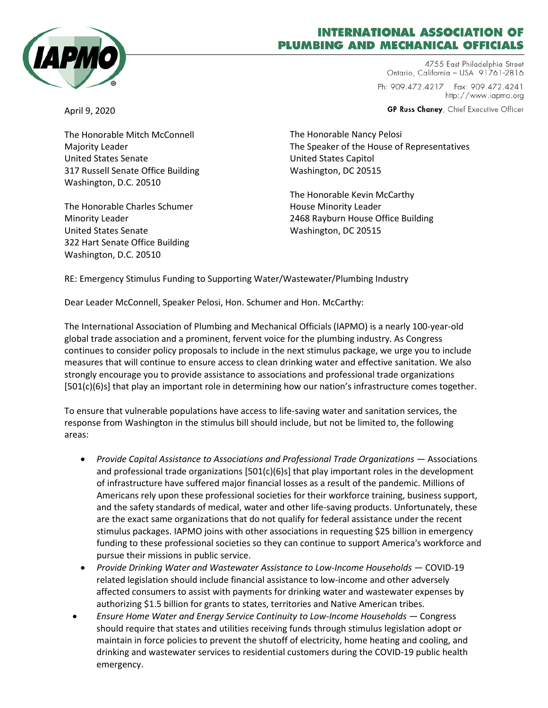

## **ITERNATIONAL ASSOCIATION OF PLUMBING AND MECHANICAL OFFICIALS**

4755 East Philadelphia Street Ontario, California - USA 91761-2816 Ph: 909.472.4217 Fax: 909.472.4241 http://www.iapmo.org

GP Russ Chaney, Chief Executive Officer

April 9, 2020

The Honorable Mitch McConnell Majority Leader United States Senate 317 Russell Senate Office Building Washington, D.C. 20510

The Honorable Charles Schumer Minority Leader United States Senate 322 Hart Senate Office Building Washington, D.C. 20510

The Honorable Nancy Pelosi The Speaker of the House of Representatives United States Capitol Washington, DC 20515

The Honorable Kevin McCarthy House Minority Leader 2468 Rayburn House Office Building Washington, DC 20515

RE: Emergency Stimulus Funding to Supporting Water/Wastewater/Plumbing Industry

Dear Leader McConnell, Speaker Pelosi, Hon. Schumer and Hon. McCarthy:

The International Association of Plumbing and Mechanical Officials (IAPMO) is a nearly 100-year-old global trade association and a prominent, fervent voice for the plumbing industry. As Congress continues to consider policy proposals to include in the next stimulus package, we urge you to include measures that will continue to ensure access to clean drinking water and effective sanitation. We also strongly encourage you to provide assistance to associations and professional trade organizations  $[501(c)(6)s]$  that play an important role in determining how our nation's infrastructure comes together.

To ensure that vulnerable populations have access to life-saving water and sanitation services, the response from Washington in the stimulus bill should include, but not be limited to, the following areas:

- *Provide Capital Assistance to Associations and Professional Trade Organizations —* Associations and professional trade organizations  $[501(c)(6)s]$  that play important roles in the development of infrastructure have suffered major financial losses as a result of the pandemic. Millions of Americans rely upon these professional societies for their workforce training, business support, and the safety standards of medical, water and other life-saving products. Unfortunately, these are the exact same organizations that do not qualify for federal assistance under the recent stimulus packages. IAPMO joins with other associations in requesting \$25 billion in emergency funding to these professional societies so they can continue to support America's workforce and pursue their missions in public service.
- *Provide Drinking Water and Wastewater Assistance to Low-Income Households —* COVID-19 related legislation should include financial assistance to low-income and other adversely affected consumers to assist with payments for drinking water and wastewater expenses by authorizing \$1.5 billion for grants to states, territories and Native American tribes.
- *Ensure Home Water and Energy Service Continuity to Low-Income Households —* Congress should require that states and utilities receiving funds through stimulus legislation adopt or maintain in force policies to prevent the shutoff of electricity, home heating and cooling, and drinking and wastewater services to residential customers during the COVID-19 public health emergency.